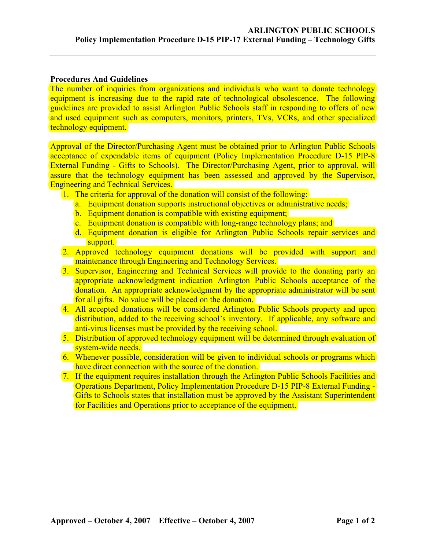## **Procedures And Guidelines**

The number of inquiries from organizations and individuals who want to donate technology equipment is increasing due to the rapid rate of technological obsolescence. The following guidelines are provided to assist Arlington Public Schools staff in responding to offers of new and used equipment such as computers, monitors, printers, TVs, VCRs, and other specialized technology equipment.

Approval of the Director/Purchasing Agent must be obtained prior to Arlington Public Schools acceptance of expendable items of equipment (Policy Implementation Procedure D-15 PIP-8 External Funding - Gifts to Schools). The Director/Purchasing Agent, prior to approval, will assure that the technology equipment has been assessed and approved by the Supervisor, Engineering and Technical Services.

- 1. The criteria for approval of the donation will consist of the following:
	- a. Equipment donation supports instructional objectives or administrative needs;
	- b. Equipment donation is compatible with existing equipment;
	- c. Equipment donation is compatible with long-range technology plans; and
	- d. Equipment donation is eligible for Arlington Public Schools repair services and support.
- 2. Approved technology equipment donations will be provided with support and maintenance through Engineering and Technology Services.
- 3. Supervisor, Engineering and Technical Services will provide to the donating party an appropriate acknowledgment indication Arlington Public Schools acceptance of the donation. An appropriate acknowledgment by the appropriate administrator will be sent for all gifts. No value will be placed on the donation.
- 4. All accepted donations will be considered Arlington Public Schools property and upon distribution, added to the receiving school's inventory. If applicable, any software and anti-virus licenses must be provided by the receiving school.
- 5. Distribution of approved technology equipment will be determined through evaluation of system-wide needs.
- 6. Whenever possible, consideration will be given to individual schools or programs which have direct connection with the source of the donation.
- 7. If the equipment requires installation through the Arlington Public Schools Facilities and Operations Department, Policy Implementation Procedure D-15 PIP-8 External Funding - Gifts to Schools states that installation must be approved by the Assistant Superintendent for Facilities and Operations prior to acceptance of the equipment.